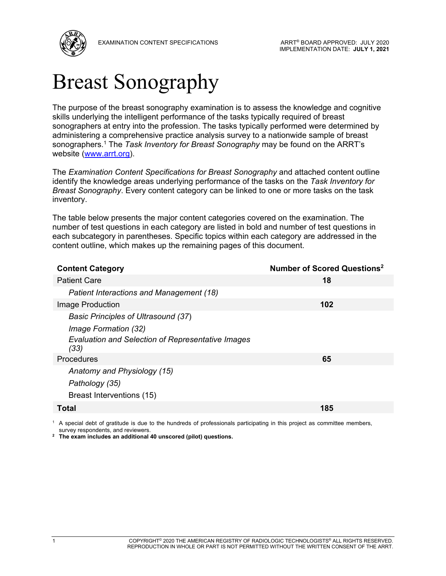

# Breast Sonography

The purpose of the breast sonography examination is to assess the knowledge and cognitive skills underlying the intelligent performance of the tasks typically required of breast sonographers at entry into the profession. The tasks typically performed were determined by administering a comprehensive practice analysis survey to a nationwide sample of breast sonographers.1 The *Task Inventory for Breast Sonography* may be found on the ARRT's website (www.arrt.org).

The *Examination Content Specifications for Breast Sonography* and attached content outline identify the knowledge areas underlying performance of the tasks on the *Task Inventory for Breast Sonography*. Every content category can be linked to one or more tasks on the task inventory.

The table below presents the major content categories covered on the examination. The number of test questions in each category are listed in bold and number of test questions in each subcategory in parentheses. Specific topics within each category are addressed in the content outline, which makes up the remaining pages of this document.

| <b>Content Category</b>                                          | Number of Scored Questions <sup>2</sup> |
|------------------------------------------------------------------|-----------------------------------------|
| <b>Patient Care</b>                                              | 18                                      |
| Patient Interactions and Management (18)                         |                                         |
| Image Production                                                 | 102                                     |
| <b>Basic Principles of Ultrasound (37)</b>                       |                                         |
| Image Formation (32)                                             |                                         |
| <b>Evaluation and Selection of Representative Images</b><br>(33) |                                         |
| <b>Procedures</b>                                                | 65                                      |
| Anatomy and Physiology (15)                                      |                                         |
| Pathology (35)                                                   |                                         |
| Breast Interventions (15)                                        |                                         |
| Total                                                            | 185                                     |

<sup>1</sup> A special debt of gratitude is due to the hundreds of professionals participating in this project as committee members, survey respondents, and reviewers.

**2 The exam includes an additional 40 unscored (pilot) questions.**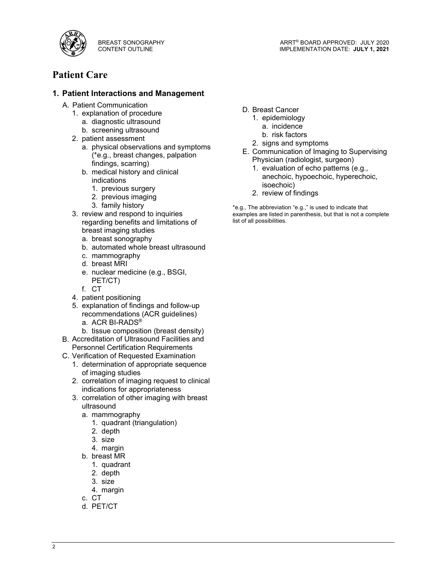

ARRT® BOARD APPROVED: JULY 2020 IMPLEMENTATION DATE: **JULY 1, 2021**

# **Patient Care**

## **1. Patient Interactions and Management**

- A. Patient Communication
	- 1. explanation of procedure
		- a. diagnostic ultrasound
		- b. screening ultrasound
	- 2. patient assessment
		- a. physical observations and symptoms (\*e.g., breast changes, palpation findings, scarring)
		- b. medical history and clinical indications
			- 1. previous surgery
			- 2. previous imaging
			- 3. family history
	- 3. review and respond to inquiries regarding benefits and limitations of breast imaging studies
		- a. breast sonography
		- b. automated whole breast ultrasound
		- c. mammography
		- d. breast MRI
		- e. nuclear medicine (e.g., BSGI, PET/CT)
		- f. CT
	- 4. patient positioning
	- 5. explanation of findings and follow-up recommendations (ACR guidelines) a. ACR BI-RADS®
		- b. tissue composition (breast density)
- B. Accreditation of Ultrasound Facilities and Personnel Certification Requirements
- C. Verification of Requested Examination
	- 1. determination of appropriate sequence of imaging studies
	- 2. correlation of imaging request to clinical indications for appropriateness
	- 3. correlation of other imaging with breast ultrasound
		- a. mammography
			- 1. quadrant (triangulation)
			- 2. depth
			- 3. size
			- 4. margin
		- b. breast MR
		- 1. quadrant
		- 2. depth
		- 3. size
		- 4. margin
		- c. CT
		- d. PET/CT
- D. Breast Cancer
	- 1. epidemiology
		- a. incidence
		- b. risk factors
	- 2. signs and symptoms
- E. Communication of Imaging to Supervising Physician (radiologist, surgeon)
	- 1. evaluation of echo patterns (e.g., anechoic, hypoechoic, hyperechoic, isoechoic)
	- 2. review of findings

\*e.g., The abbreviation "e.g.," is used to indicate that examples are listed in parenthesis, but that is not a complete list of all possibilities.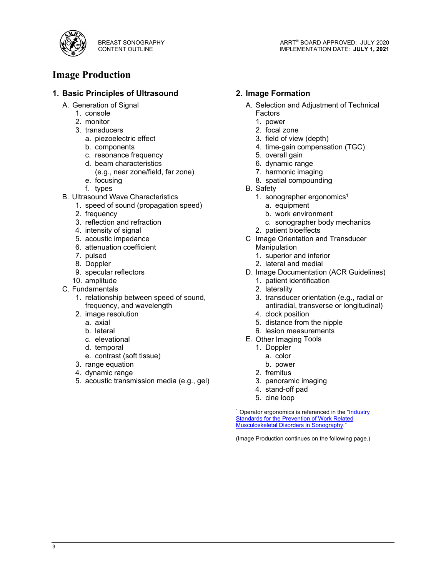

## **Image Production**

## **1. Basic Principles of Ultrasound**

- A. Generation of Signal
	- 1. console
	- 2. monitor
	- 3. transducers
		- a. piezoelectric effect
		- b. components
		- c. resonance frequency
		- d. beam characteristics (e.g., near zone/field, far zone)
		- e. focusing
		- f. types
- B. Ultrasound Wave Characteristics
	- 1. speed of sound (propagation speed)
	- 2. frequency
	- 3. reflection and refraction
	- 4. intensity of signal
	- 5. acoustic impedance
	- 6. attenuation coefficient
	- 7. pulsed
	- 8. Doppler
	- 9. specular reflectors
	- 10. amplitude
- C. Fundamentals
	- 1. relationship between speed of sound, frequency, and wavelength
	- 2. image resolution
		- a. axial
		- b. lateral
		- c. elevational
		- d. temporal
		- e. contrast (soft tissue)
	- 3. range equation
	- 4. dynamic range
	- 5. acoustic transmission media (e.g., gel)

### **2. Image Formation**

- A. Selection and Adjustment of Technical Factors
	- 1. power
	- 2. focal zone
	- 3. field of view (depth)
	- 4. time-gain compensation (TGC)
	- 5. overall gain
	- 6. dynamic range
	- 7. harmonic imaging
	- 8. spatial compounding
- B. Safety
	- 1. sonographer ergonomics<sup>1</sup>
		- a. equipment
		- b. work environment
		- c. sonographer body mechanics
	- 2. patient bioeffects
- C Image Orientation and Transducer Manipulation
	- 1. superior and inferior
	- 2. lateral and medial
	-
- D. Image Documentation (ACR Guidelines) 1. patient identification
	- 2. laterality
		-
	- 3. transducer orientation (e.g., radial or antiradial, transverse or longitudinal)
	- 4. clock position
	- 5. distance from the nipple
	- 6. lesion measurements
- E. Other Imaging Tools
	- 1. Doppler
		- a. color
		- b. power
	- 2. fremitus
	- 3. panoramic imaging
	- 4. stand-off pad
	- 5. cine loop

<sup>1</sup> Operator ergonomics is referenced in the "Industry Standards for the Prevention of Work Related Musculoskeletal Disorders in Sonography."

(Image Production continues on the following page.)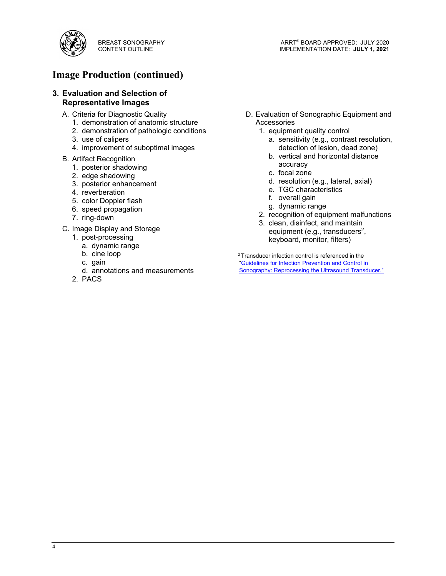

# **Image Production (continued)**

#### **3. Evaluation and Selection of Representative Images**

- A. Criteria for Diagnostic Quality
	- 1. demonstration of anatomic structure
	- 2. demonstration of pathologic conditions
	- 3. use of calipers
	- 4. improvement of suboptimal images

#### B. Artifact Recognition

- 1. posterior shadowing
- 2. edge shadowing
- 3. posterior enhancement
- 4. reverberation
- 5. color Doppler flash
- 6. speed propagation
- 7. ring-down
- C. Image Display and Storage
	- 1. post-processing
		- a. dynamic range
		- b. cine loop
		- c. gain
		- d. annotations and measurements
	- 2. PACS
- D. Evaluation of Sonographic Equipment and Accessories
	- 1. equipment quality control
		- a. sensitivity (e.g., contrast resolution, detection of lesion, dead zone)
		- b. vertical and horizontal distance accuracy
		- c. focal zone
		- d. resolution (e.g., lateral, axial)
		- e. TGC characteristics
		- f. overall gain
		- g. dynamic range
	- 2. recognition of equipment malfunctions
	- 3. clean, disinfect, and maintain equipment (e.g., transducers<sup>2</sup>, keyboard, monitor, filters)

<sup>2</sup> Transducer infection control is referenced in the "Guidelines for Infection Prevention and Control in Sonography: Reprocessing the Ultrasound Transducer."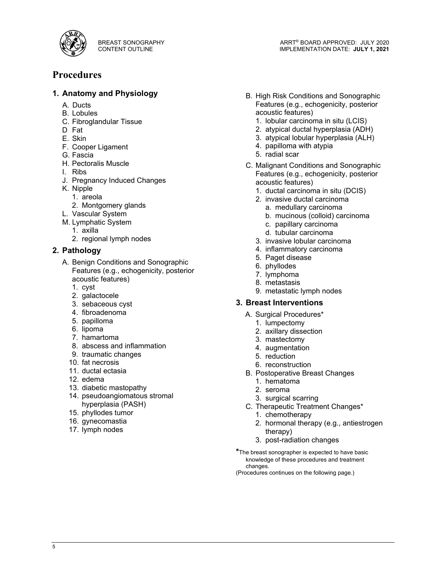

# **Procedures**

## **1. Anatomy and Physiology**

- A. Ducts
- B. Lobules
- C. Fibroglandular Tissue
- D Fat
- E. Skin
- F. Cooper Ligament
- G. Fascia
- H. Pectoralis Muscle
- I. Ribs
- J. Pregnancy Induced Changes
- K. Nipple
	- 1. areola
	- 2. Montgomery glands
- L. Vascular System
- M. Lymphatic System
	- 1. axilla
	- 2. regional lymph nodes

#### **2. Pathology**

- A. Benign Conditions and Sonographic Features (e.g., echogenicity, posterior acoustic features)
	- 1. cyst
	- 2. galactocele
	- 3. sebaceous cyst
	- 4. fibroadenoma
	- 5. papilloma
	- 6. lipoma
	- 7. hamartoma
	- 8. abscess and inflammation
	- 9. traumatic changes
	- 10. fat necrosis
	- 11. ductal ectasia
	- 12. edema
	- 13. diabetic mastopathy
	- 14. pseudoangiomatous stromal hyperplasia (PASH)
	- 15. phyllodes tumor
	- 16. gynecomastia
	- 17. lymph nodes
- B. High Risk Conditions and Sonographic Features (e.g., echogenicity, posterior acoustic features)
	- 1. lobular carcinoma in situ (LCIS)
	- 2. atypical ductal hyperplasia (ADH)
	- 3. atypical lobular hyperplasia (ALH)
	- 4. papilloma with atypia
	- 5. radial scar
- C. Malignant Conditions and Sonographic Features (e.g., echogenicity, posterior acoustic features)
	- 1. ductal carcinoma in situ (DCIS)
	- 2. invasive ductal carcinoma
		- a. medullary carcinoma
		- b. mucinous (colloid) carcinoma
		- c. papillary carcinoma
		- d. tubular carcinoma
	- 3. invasive lobular carcinoma
	- 4. inflammatory carcinoma
	- 5. Paget disease
	- 6. phyllodes
	- 7. lymphoma
	- 8. metastasis
	- 9. metastatic lymph nodes

#### **3. Breast Interventions**

- A. Surgical Procedures\*
	- 1. lumpectomy
	- 2. axillary dissection
	- 3. mastectomy
	- 4. augmentation
	- 5. reduction
	- 6. reconstruction
- B. Postoperative Breast Changes
	- 1. hematoma
	- 2. seroma
	- 3. surgical scarring
- C. Therapeutic Treatment Changes\*
	- 1. chemotherapy
	- 2. hormonal therapy (e.g., antiestrogen therapy)
	- 3. post-radiation changes
- **\***The breast sonographer is expected to have basic knowledge of these procedures and treatment changes.

(Procedures continues on the following page.)